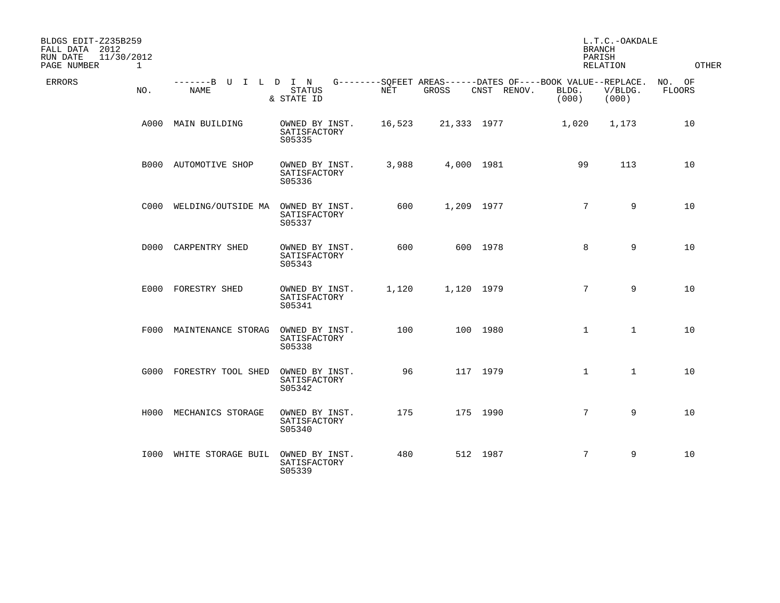| BLDGS EDIT-Z235B259<br>FALL DATA 2012<br>RUN DATE<br>11/30/2012<br>PAGE NUMBER<br>$\mathbf{1}$ |                                     |                                          |        |            |             |                                                                               | L.T.C.-OAKDALE<br><b>BRANCH</b><br>PARISH<br>RELATION | <b>OTHER</b>            |
|------------------------------------------------------------------------------------------------|-------------------------------------|------------------------------------------|--------|------------|-------------|-------------------------------------------------------------------------------|-------------------------------------------------------|-------------------------|
| <b>ERRORS</b><br>NO.                                                                           | -------B U I L D I N<br><b>NAME</b> | STATUS<br>& STATE ID                     | NET    | GROSS      | CNST RENOV. | G--------SOFEET AREAS------DATES OF----BOOK VALUE--REPLACE.<br>BLDG.<br>(000) | V/BLDG.<br>(000)                                      | NO. OF<br><b>FLOORS</b> |
|                                                                                                | A000 MAIN BUILDING                  | OWNED BY INST.<br>SATISFACTORY<br>S05335 | 16,523 |            | 21,333 1977 | 1,020                                                                         | 1,173                                                 | 10                      |
|                                                                                                | B000 AUTOMOTIVE SHOP                | OWNED BY INST.<br>SATISFACTORY<br>S05336 | 3,988  | 4,000 1981 |             | 99                                                                            | 113                                                   | 10                      |
|                                                                                                | C000 WELDING/OUTSIDE MA             | OWNED BY INST.<br>SATISFACTORY<br>S05337 | 600    | 1,209 1977 |             | $7^{\circ}$                                                                   | 9                                                     | 10                      |
|                                                                                                | D000 CARPENTRY SHED                 | OWNED BY INST.<br>SATISFACTORY<br>S05343 | 600    |            | 600 1978    | 8                                                                             | 9                                                     | 10                      |
|                                                                                                | E000 FORESTRY SHED                  | OWNED BY INST.<br>SATISFACTORY<br>S05341 | 1,120  | 1,120 1979 |             | $7^{\circ}$                                                                   | 9                                                     | 10                      |
|                                                                                                | F000 MAINTENANCE STORAG             | OWNED BY INST.<br>SATISFACTORY<br>S05338 | 100    |            | 100 1980    | $\mathbf{1}$                                                                  | $\mathbf{1}$                                          | 10                      |
|                                                                                                | G000 FORESTRY TOOL SHED             | OWNED BY INST.<br>SATISFACTORY<br>S05342 | 96     |            | 117 1979    | $\mathbf{1}$                                                                  | $\mathbf{1}$                                          | 10                      |
|                                                                                                | H000 MECHANICS STORAGE              | OWNED BY INST.<br>SATISFACTORY<br>S05340 | 175    |            | 175 1990    | $7^{\circ}$                                                                   | 9                                                     | 10                      |
|                                                                                                | 1000 WHITE STORAGE BUIL             | OWNED BY INST.<br>SATISFACTORY<br>S05339 | 480    |            | 512 1987    | $7\phantom{.0}$                                                               | 9                                                     | 10                      |